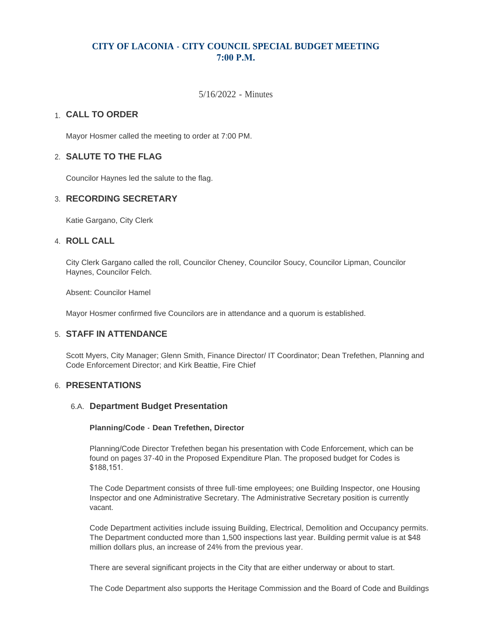# **CITY OF LACONIA - CITY COUNCIL SPECIAL BUDGET MEETING 7:00 P.M.**

5/16/2022 - Minutes

# **CALL TO ORDER**  1.

Mayor Hosmer called the meeting to order at 7:00 PM.

## **SALUTE TO THE FLAG** 2.

Councilor Haynes led the salute to the flag.

## **RECORDING SECRETARY** 3.

Katie Gargano, City Clerk

### **ROLL CALL** 4.

City Clerk Gargano called the roll, Councilor Cheney, Councilor Soucy, Councilor Lipman, Councilor Haynes, Councilor Felch.

Absent: Councilor Hamel

Mayor Hosmer confirmed five Councilors are in attendance and a quorum is established.

# **STAFF IN ATTENDANCE** 5.

Scott Myers, City Manager; Glenn Smith, Finance Director/ IT Coordinator; Dean Trefethen, Planning and Code Enforcement Director; and Kirk Beattie, Fire Chief

### **PRESENTATIONS** 6.

### **Department Budget Presentation** 6.A.

#### **Planning/Code - Dean Trefethen, Director**

Planning/Code Director Trefethen began his presentation with Code Enforcement, which can be found on pages 37-40 in the Proposed Expenditure Plan. The proposed budget for Codes is \$188,151.

The Code Department consists of three full-time employees; one Building Inspector, one Housing Inspector and one Administrative Secretary. The Administrative Secretary position is currently vacant.

Code Department activities include issuing Building, Electrical, Demolition and Occupancy permits. The Department conducted more than 1,500 inspections last year. Building permit value is at \$48 million dollars plus, an increase of 24% from the previous year.

There are several significant projects in the City that are either underway or about to start.

The Code Department also supports the Heritage Commission and the Board of Code and Buildings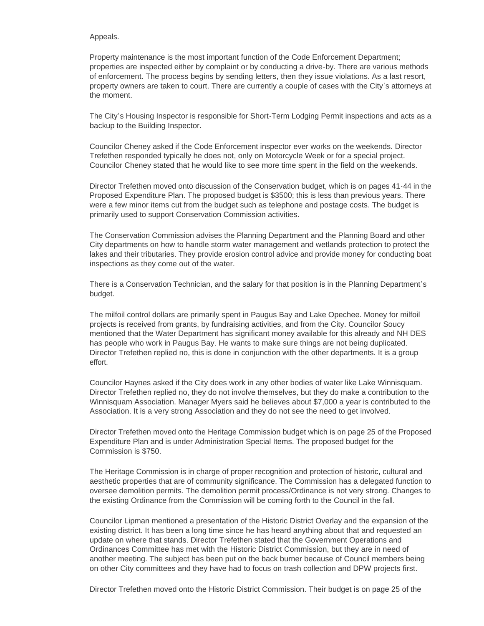#### Appeals.

Property maintenance is the most important function of the Code Enforcement Department; properties are inspected either by complaint or by conducting a drive-by. There are various methods of enforcement. The process begins by sending letters, then they issue violations. As a last resort, property owners are taken to court. There are currently a couple of cases with the City's attorneys at the moment.

The City's Housing Inspector is responsible for Short-Term Lodging Permit inspections and acts as a backup to the Building Inspector.

Councilor Cheney asked if the Code Enforcement inspector ever works on the weekends. Director Trefethen responded typically he does not, only on Motorcycle Week or for a special project. Councilor Cheney stated that he would like to see more time spent in the field on the weekends.

Director Trefethen moved onto discussion of the Conservation budget, which is on pages 41-44 in the Proposed Expenditure Plan. The proposed budget is \$3500; this is less than previous years. There were a few minor items cut from the budget such as telephone and postage costs. The budget is primarily used to support Conservation Commission activities.

The Conservation Commission advises the Planning Department and the Planning Board and other City departments on how to handle storm water management and wetlands protection to protect the lakes and their tributaries. They provide erosion control advice and provide money for conducting boat inspections as they come out of the water.

There is a Conservation Technician, and the salary for that position is in the Planning Department's budget.

The milfoil control dollars are primarily spent in Paugus Bay and Lake Opechee. Money for milfoil projects is received from grants, by fundraising activities, and from the City. Councilor Soucy mentioned that the Water Department has significant money available for this already and NH DES has people who work in Paugus Bay. He wants to make sure things are not being duplicated. Director Trefethen replied no, this is done in conjunction with the other departments. It is a group effort.

Councilor Haynes asked if the City does work in any other bodies of water like Lake Winnisquam. Director Trefethen replied no, they do not involve themselves, but they do make a contribution to the Winnisquam Association. Manager Myers said he believes about \$7,000 a year is contributed to the Association. It is a very strong Association and they do not see the need to get involved.

Director Trefethen moved onto the Heritage Commission budget which is on page 25 of the Proposed Expenditure Plan and is under Administration Special Items. The proposed budget for the Commission is \$750.

The Heritage Commission is in charge of proper recognition and protection of historic, cultural and aesthetic properties that are of community significance. The Commission has a delegated function to oversee demolition permits. The demolition permit process/Ordinance is not very strong. Changes to the existing Ordinance from the Commission will be coming forth to the Council in the fall.

Councilor Lipman mentioned a presentation of the Historic District Overlay and the expansion of the existing district. It has been a long time since he has heard anything about that and requested an update on where that stands. Director Trefethen stated that the Government Operations and Ordinances Committee has met with the Historic District Commission, but they are in need of another meeting. The subject has been put on the back burner because of Council members being on other City committees and they have had to focus on trash collection and DPW projects first.

Director Trefethen moved onto the Historic District Commission. Their budget is on page 25 of the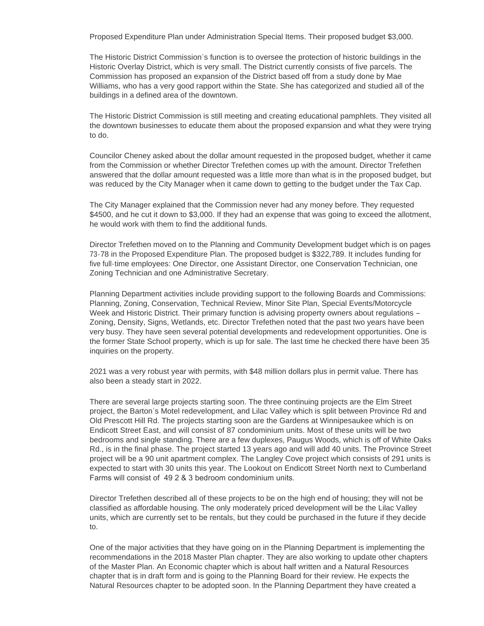Proposed Expenditure Plan under Administration Special Items. Their proposed budget \$3,000.

The Historic District Commission's function is to oversee the protection of historic buildings in the Historic Overlay District, which is very small. The District currently consists of five parcels. The Commission has proposed an expansion of the District based off from a study done by Mae Williams, who has a very good rapport within the State. She has categorized and studied all of the buildings in a defined area of the downtown.

The Historic District Commission is still meeting and creating educational pamphlets. They visited all the downtown businesses to educate them about the proposed expansion and what they were trying to do.

Councilor Cheney asked about the dollar amount requested in the proposed budget, whether it came from the Commission or whether Director Trefethen comes up with the amount. Director Trefethen answered that the dollar amount requested was a little more than what is in the proposed budget, but was reduced by the City Manager when it came down to getting to the budget under the Tax Cap.

The City Manager explained that the Commission never had any money before. They requested \$4500, and he cut it down to \$3,000. If they had an expense that was going to exceed the allotment, he would work with them to find the additional funds.

Director Trefethen moved on to the Planning and Community Development budget which is on pages 73-78 in the Proposed Expenditure Plan. The proposed budget is \$322,789. It includes funding for five full-time employees: One Director, one Assistant Director, one Conservation Technician, one Zoning Technician and one Administrative Secretary.

Planning Department activities include providing support to the following Boards and Commissions: Planning, Zoning, Conservation, Technical Review, Minor Site Plan, Special Events/Motorcycle Week and Historic District. Their primary function is advising property owners about regulations – Zoning, Density, Signs, Wetlands, etc. Director Trefethen noted that the past two years have been very busy. They have seen several potential developments and redevelopment opportunities. One is the former State School property, which is up for sale. The last time he checked there have been 35 inquiries on the property.

2021 was a very robust year with permits, with \$48 million dollars plus in permit value. There has also been a steady start in 2022.

There are several large projects starting soon. The three continuing projects are the Elm Street project, the Barton's Motel redevelopment, and Lilac Valley which is split between Province Rd and Old Prescott Hill Rd. The projects starting soon are the Gardens at Winnipesaukee which is on Endicott Street East, and will consist of 87 condominium units. Most of these units will be two bedrooms and single standing. There are a few duplexes, Paugus Woods, which is off of White Oaks Rd., is in the final phase. The project started 13 years ago and will add 40 units. The Province Street project will be a 90 unit apartment complex. The Langley Cove project which consists of 291 units is expected to start with 30 units this year. The Lookout on Endicott Street North next to Cumberland Farms will consist of 49 2 & 3 bedroom condominium units.

Director Trefethen described all of these projects to be on the high end of housing; they will not be classified as affordable housing. The only moderately priced development will be the Lilac Valley units, which are currently set to be rentals, but they could be purchased in the future if they decide to.

One of the major activities that they have going on in the Planning Department is implementing the recommendations in the 2018 Master Plan chapter. They are also working to update other chapters of the Master Plan. An Economic chapter which is about half written and a Natural Resources chapter that is in draft form and is going to the Planning Board for their review. He expects the Natural Resources chapter to be adopted soon. In the Planning Department they have created a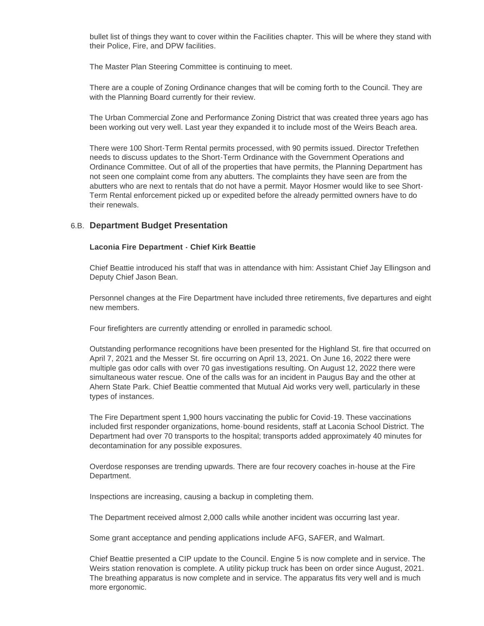bullet list of things they want to cover within the Facilities chapter. This will be where they stand with their Police, Fire, and DPW facilities.

The Master Plan Steering Committee is continuing to meet.

There are a couple of Zoning Ordinance changes that will be coming forth to the Council. They are with the Planning Board currently for their review.

The Urban Commercial Zone and Performance Zoning District that was created three years ago has been working out very well. Last year they expanded it to include most of the Weirs Beach area.

There were 100 Short-Term Rental permits processed, with 90 permits issued. Director Trefethen needs to discuss updates to the Short-Term Ordinance with the Government Operations and Ordinance Committee. Out of all of the properties that have permits, the Planning Department has not seen one complaint come from any abutters. The complaints they have seen are from the abutters who are next to rentals that do not have a permit. Mayor Hosmer would like to see Short-Term Rental enforcement picked up or expedited before the already permitted owners have to do their renewals.

### **Department Budget Presentation** 6.B.

#### **Laconia Fire Department - Chief Kirk Beattie**

Chief Beattie introduced his staff that was in attendance with him: Assistant Chief Jay Ellingson and Deputy Chief Jason Bean.

Personnel changes at the Fire Department have included three retirements, five departures and eight new members.

Four firefighters are currently attending or enrolled in paramedic school.

Outstanding performance recognitions have been presented for the Highland St. fire that occurred on April 7, 2021 and the Messer St. fire occurring on April 13, 2021. On June 16, 2022 there were multiple gas odor calls with over 70 gas investigations resulting. On August 12, 2022 there were simultaneous water rescue. One of the calls was for an incident in Paugus Bay and the other at Ahern State Park. Chief Beattie commented that Mutual Aid works very well, particularly in these types of instances.

The Fire Department spent 1,900 hours vaccinating the public for Covid-19. These vaccinations included first responder organizations, home-bound residents, staff at Laconia School District. The Department had over 70 transports to the hospital; transports added approximately 40 minutes for decontamination for any possible exposures.

Overdose responses are trending upwards. There are four recovery coaches in-house at the Fire Department.

Inspections are increasing, causing a backup in completing them.

The Department received almost 2,000 calls while another incident was occurring last year.

Some grant acceptance and pending applications include AFG, SAFER, and Walmart.

Chief Beattie presented a CIP update to the Council. Engine 5 is now complete and in service. The Weirs station renovation is complete. A utility pickup truck has been on order since August, 2021. The breathing apparatus is now complete and in service. The apparatus fits very well and is much more ergonomic.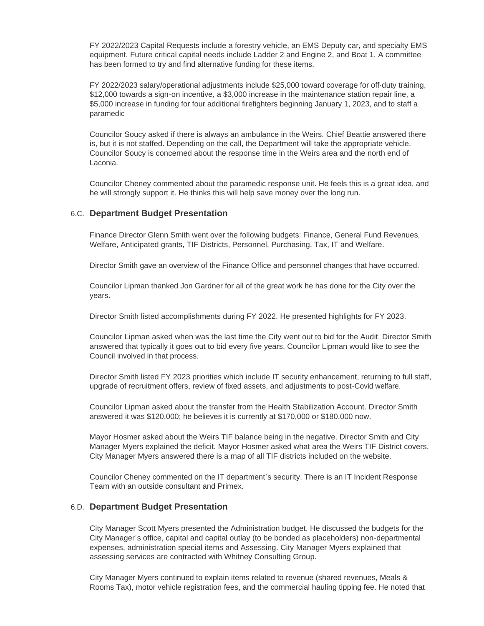FY 2022/2023 Capital Requests include a forestry vehicle, an EMS Deputy car, and specialty EMS equipment. Future critical capital needs include Ladder 2 and Engine 2, and Boat 1. A committee has been formed to try and find alternative funding for these items.

FY 2022/2023 salary/operational adjustments include \$25,000 toward coverage for off-duty training, \$12,000 towards a sign-on incentive, a \$3,000 increase in the maintenance station repair line, a \$5,000 increase in funding for four additional firefighters beginning January 1, 2023, and to staff a paramedic

Councilor Soucy asked if there is always an ambulance in the Weirs. Chief Beattie answered there is, but it is not staffed. Depending on the call, the Department will take the appropriate vehicle. Councilor Soucy is concerned about the response time in the Weirs area and the north end of Laconia.

Councilor Cheney commented about the paramedic response unit. He feels this is a great idea, and he will strongly support it. He thinks this will help save money over the long run.

## **Department Budget Presentation** 6.C.

Finance Director Glenn Smith went over the following budgets: Finance, General Fund Revenues, Welfare, Anticipated grants, TIF Districts, Personnel, Purchasing, Tax, IT and Welfare.

Director Smith gave an overview of the Finance Office and personnel changes that have occurred.

Councilor Lipman thanked Jon Gardner for all of the great work he has done for the City over the years.

Director Smith listed accomplishments during FY 2022. He presented highlights for FY 2023.

Councilor Lipman asked when was the last time the City went out to bid for the Audit. Director Smith answered that typically it goes out to bid every five years. Councilor Lipman would like to see the Council involved in that process.

Director Smith listed FY 2023 priorities which include IT security enhancement, returning to full staff, upgrade of recruitment offers, review of fixed assets, and adjustments to post-Covid welfare.

Councilor Lipman asked about the transfer from the Health Stabilization Account. Director Smith answered it was \$120,000; he believes it is currently at \$170,000 or \$180,000 now.

Mayor Hosmer asked about the Weirs TIF balance being in the negative. Director Smith and City Manager Myers explained the deficit. Mayor Hosmer asked what area the Weirs TIF District covers. City Manager Myers answered there is a map of all TIF districts included on the website.

Councilor Cheney commented on the IT department's security. There is an IT Incident Response Team with an outside consultant and Primex.

#### **Department Budget Presentation** 6.D.

City Manager Scott Myers presented the Administration budget. He discussed the budgets for the City Manager's office, capital and capital outlay (to be bonded as placeholders) non-departmental expenses, administration special items and Assessing. City Manager Myers explained that assessing services are contracted with Whitney Consulting Group.

City Manager Myers continued to explain items related to revenue (shared revenues, Meals & Rooms Tax), motor vehicle registration fees, and the commercial hauling tipping fee. He noted that